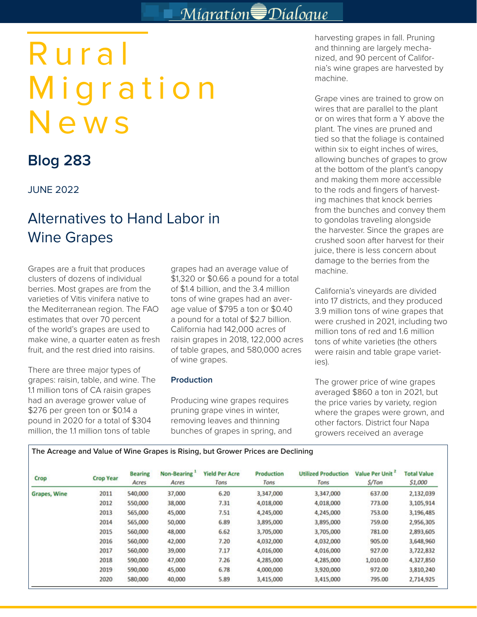# Migration<sup>S</sup>Dialoque

# Rural Migration News

## **Blog 283**

## JUNE 2022

## Alternatives to Hand Labor in Wine Grapes

Grapes are a fruit that produces clusters of dozens of individual berries. Most grapes are from the varieties of Vitis vinifera native to the Mediterranean region. The FAO estimates that over 70 percent of the world's grapes are used to make wine, a quarter eaten as fresh fruit, and the rest dried into raisins.

There are three major types of grapes: raisin, table, and wine. The 1.1 million tons of CA raisin grapes had an average grower value of \$276 per green ton or \$0.14 a pound in 2020 for a total of \$304 million, the 1.1 million tons of table

grapes had an average value of \$1,320 or \$0.66 a pound for a total of \$1.4 billion, and the 3.4 million tons of wine grapes had an average value of \$795 a ton or \$0.40 a pound for a total of \$2.7 billion. California had 142,000 acres of raisin grapes in 2018, 122,000 acres of table grapes, and 580,000 acres of wine grapes.

### **Production**

Producing wine grapes requires pruning grape vines in winter, removing leaves and thinning bunches of grapes in spring, and harvesting grapes in fall. Pruning and thinning are largely mechanized, and 90 percent of California's wine grapes are harvested by machine.

Grape vines are trained to grow on wires that are parallel to the plant or on wires that form a Y above the plant. The vines are pruned and tied so that the foliage is contained within six to eight inches of wires, allowing bunches of grapes to grow at the bottom of the plant's canopy and making them more accessible to the rods and fingers of harvesting machines that knock berries from the bunches and convey them to gondolas traveling alongside the harvester. Since the grapes are crushed soon after harvest for their juice, there is less concern about damage to the berries from the machine.

California's vineyards are divided into 17 districts, and they produced 3.9 million tons of wine grapes that were crushed in 2021, including two million tons of red and 1.6 million tons of white varieties (the others were raisin and table grape varieties).

The grower price of wine grapes averaged \$860 a ton in 2021, but the price varies by variety, region where the grapes were grown, and other factors. District four Napa growers received an average

| The Acreage and Value of Wine Grapes is Rising, but Grower Prices are Declining |
|---------------------------------------------------------------------------------|
|---------------------------------------------------------------------------------|

| Crop                | <b>Crop Year</b> | <b>Bearing</b><br>Acres | Non-Bearing<br>Acres | <b>Yield Per Acre</b><br>Tons | <b>Production</b><br>Tons | <b>Utilized Production</b><br>Tons | Value Per Unit<br>S/Ton | <b>Total Value</b><br>\$1,000 |
|---------------------|------------------|-------------------------|----------------------|-------------------------------|---------------------------|------------------------------------|-------------------------|-------------------------------|
| <b>Grapes, Wine</b> | 2011             | 540,000                 | 37,000               | 6.20                          | 3,347,000                 | 3,347,000                          | 637.00                  | 2,132,039                     |
|                     | 2012             | 550,000                 | 38,000               | 7.31                          | 4,018,000                 | 4,018,000                          | 773.00                  | 3,105,914                     |
|                     | 2013             | 565,000                 | 45,000               | 7.51                          | 4,245,000                 | 4,245,000                          | 753.00                  | 3,196,485                     |
|                     | 2014             | 565,000                 | 50,000               | 6.89                          | 3,895,000                 | 3,895,000                          | 759.00                  | 2,956,305                     |
|                     | 2015             | 560,000                 | 48,000               | 6.62                          | 3,705,000                 | 3,705,000                          | 781.00                  | 2,893,605                     |
|                     | 2016             | 560,000                 | 42,000               | 7.20                          | 4,032,000                 | 4,032,000                          | 905.00                  | 3,648,960                     |
|                     | 2017             | 560,000                 | 39,000               | 7.17                          | 4,016,000                 | 4,016,000                          | 927.00                  | 3,722,832                     |
|                     | 2018             | 590,000                 | 47,000               | 7.26                          | 4,285,000                 | 4,285,000                          | 1,010.00                | 4,327,850                     |
|                     | 2019             | 590,000                 | 45,000               | 6.78                          | 4,000,000                 | 3,920,000                          | 972.00                  | 3,810,240                     |
|                     | 2020             | 580,000                 | 40,000               | 5.89                          | 3,415,000                 | 3,415,000                          | 795.00                  | 2,714,925                     |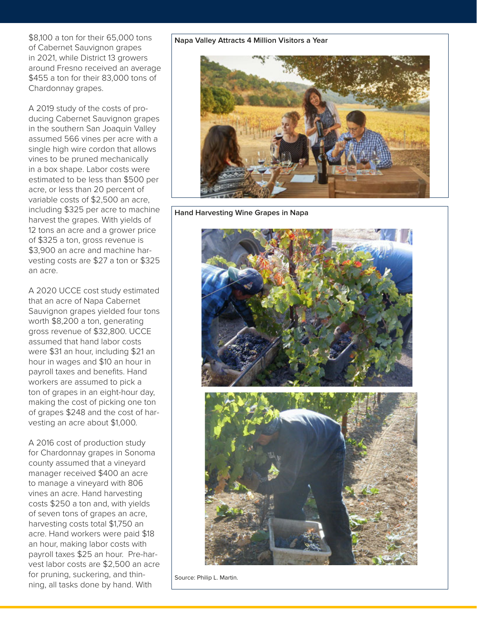\$8,100 a ton for their 65,000 tons of Cabernet Sauvignon grapes in 2021, while District 13 growers around Fresno received an average \$455 a ton for their 83,000 tons of Chardonnay grapes.

A 2019 study of the costs of producing Cabernet Sauvignon grapes in the southern San Joaquin Valley assumed 566 vines per acre with a single high wire cordon that allows vines to be pruned mechanically in a box shape. Labor costs were estimated to be less than \$500 per acre, or less than 20 percent of variable costs of \$2,500 an acre, including \$325 per acre to machine harvest the grapes. With yields of 12 tons an acre and a grower price of \$325 a ton, gross revenue is \$3,900 an acre and machine harvesting costs are \$27 a ton or \$325 an acre.

A 2020 UCCE cost study estimated that an acre of Napa Cabernet Sauvignon grapes yielded four tons worth \$8,200 a ton, generating gross revenue of \$32,800. UCCE assumed that hand labor costs were \$31 an hour, including \$21 an hour in wages and \$10 an hour in payroll taxes and benefits. Hand workers are assumed to pick a ton of grapes in an eight-hour day, making the cost of picking one ton of grapes \$248 and the cost of harvesting an acre about \$1,000.

A 2016 cost of production study for Chardonnay grapes in Sonoma county assumed that a vineyard manager received \$400 an acre to manage a vineyard with 806 vines an acre. Hand harvesting costs \$250 a ton and, with yields of seven tons of grapes an acre, harvesting costs total \$1,750 an acre. Hand workers were paid \$18 an hour, making labor costs with payroll taxes \$25 an hour. Pre-harvest labor costs are \$2,500 an acre for pruning, suckering, and thinning, all tasks done by hand. With

#### **Napa Valley Attracts 4 Million Visitors a Year**



**Hand Harvesting Wine Grapes in Napa** 



Source: Philip L. Martin.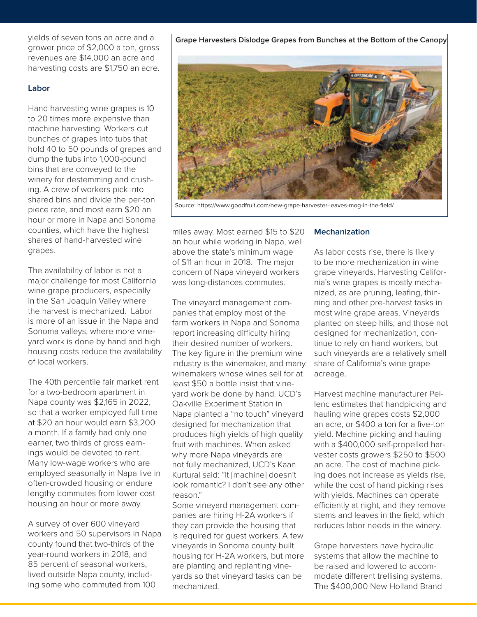yields of seven tons an acre and a grower price of \$2,000 a ton, gross revenues are \$14,000 an acre and harvesting costs are \$1,750 an acre.

#### **Labor**

Hand harvesting wine grapes is 10 to 20 times more expensive than machine harvesting. Workers cut bunches of grapes into tubs that hold 40 to 50 pounds of grapes and dump the tubs into 1,000-pound bins that are conveyed to the winery for destemming and crushing. A crew of workers pick into shared bins and divide the per-ton piece rate, and most earn \$20 an hour or more in Napa and Sonoma counties, which have the highest shares of hand-harvested wine grapes.

The availability of labor is not a major challenge for most California wine grape producers, especially in the San Joaquin Valley where the harvest is mechanized. Labor is more of an issue in the Napa and Sonoma valleys, where more vineyard work is done by hand and high housing costs reduce the availability of local workers.

The 40th percentile fair market rent for a two-bedroom apartment in Napa county was \$2,165 in 2022, so that a worker employed full time at \$20 an hour would earn \$3,200 a month. If a family had only one earner, two thirds of gross earnings would be devoted to rent. Many low-wage workers who are employed seasonally in Napa live in often-crowded housing or endure lengthy commutes from lower cost housing an hour or more away.

A survey of over 600 vineyard workers and 50 supervisors in Napa county found that two-thirds of the year-round workers in 2018, and 85 percent of seasonal workers, lived outside Napa county, including some who commuted from 100

above the state's minimum wage of \$11 an hour in 2018. The major concern of Napa vineyard workers was long-distances commutes.

The vineyard management companies that employ most of the farm workers in Napa and Sonoma report increasing difficulty hiring their desired number of workers. The key figure in the premium wine industry is the winemaker, and many winemakers whose wines sell for at least \$50 a bottle insist that vineyard work be done by hand. UCD's Oakville Experiment Station in Napa planted a "no touch" vineyard designed for mechanization that produces high yields of high quality fruit with machines. When asked why more Napa vineyards are not fully mechanized, UCD's Kaan Kurtural said: "It [machine] doesn't look romantic? I don't see any other reason."

Some vineyard management companies are hiring H-2A workers if they can provide the housing that is required for guest workers. A few vineyards in Sonoma county built housing for H-2A workers, but more are planting and replanting vineyards so that vineyard tasks can be mechanized.

#### **Mechanization**

As labor costs rise, there is likely to be more mechanization in wine grape vineyards. Harvesting California's wine grapes is mostly mechanized, as are pruning, leafing, thinning and other pre-harvest tasks in most wine grape areas. Vineyards planted on steep hills, and those not designed for mechanization, continue to rely on hand workers, but such vineyards are a relatively small share of California's wine grape acreage.

Harvest machine manufacturer Pellenc estimates that handpicking and hauling wine grapes costs \$2,000 an acre, or \$400 a ton for a five-ton yield. Machine picking and hauling with a \$400,000 self-propelled harvester costs growers \$250 to \$500 an acre. The cost of machine picking does not increase as yields rise, while the cost of hand picking rises with yields. Machines can operate efficiently at night, and they remove stems and leaves in the field, which reduces labor needs in the winery.

Grape harvesters have hydraulic systems that allow the machine to be raised and lowered to accommodate different trellising systems. The \$400,000 New Holland Brand

#### **Grape Harvesters Dislodge Grapes from Bunches at the Bottom of the Canopy**



miles away. Most earned \$15 to \$20 an hour while working in Napa, well